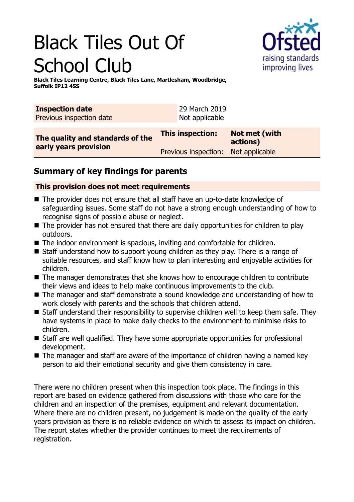# Black Tiles Out Of School Club



**Black Tiles Learning Centre, Black Tiles Lane, Martlesham, Woodbridge, Suffolk IP12 4SS**

| <b>Inspection date</b><br>Previous inspection date |                  | 29 March 2019<br>Not applicable |                                     |
|----------------------------------------------------|------------------|---------------------------------|-------------------------------------|
| The quality and standards of the                   | This inspection: |                                 | Not met (with<br>actions)           |
| early years provision                              |                  |                                 | Previous inspection: Not applicable |

# **Summary of key findings for parents**

## **This provision does not meet requirements**

- $\blacksquare$  The provider does not ensure that all staff have an up-to-date knowledge of safeguarding issues. Some staff do not have a strong enough understanding of how to recognise signs of possible abuse or neglect.
- $\blacksquare$  The provider has not ensured that there are daily opportunities for children to play outdoors.
- $\blacksquare$  The indoor environment is spacious, inviting and comfortable for children.
- $\blacksquare$  Staff understand how to support young children as they play. There is a range of suitable resources, and staff know how to plan interesting and enjoyable activities for children.
- $\blacksquare$  The manager demonstrates that she knows how to encourage children to contribute their views and ideas to help make continuous improvements to the club.
- The manager and staff demonstrate a sound knowledge and understanding of how to work closely with parents and the schools that children attend.
- $\blacksquare$  Staff understand their responsibility to supervise children well to keep them safe. They have systems in place to make daily checks to the environment to minimise risks to children.
- Staff are well qualified. They have some appropriate opportunities for professional development.
- $\blacksquare$  The manager and staff are aware of the importance of children having a named key person to aid their emotional security and give them consistency in care.

There were no children present when this inspection took place. The findings in this report are based on evidence gathered from discussions with those who care for the children and an inspection of the premises, equipment and relevant documentation. Where there are no children present, no judgement is made on the quality of the early years provision as there is no reliable evidence on which to assess its impact on children. The report states whether the provider continues to meet the requirements of registration.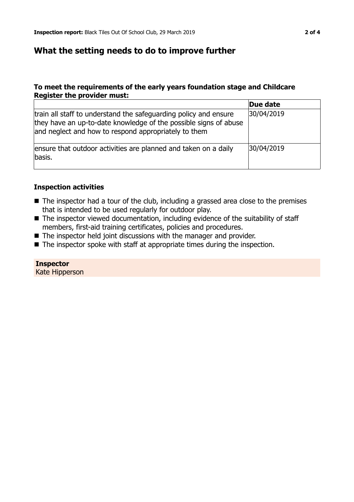## **What the setting needs to do to improve further**

#### **To meet the requirements of the early years foundation stage and Childcare Register the provider must:**

|                                                                                                                                                                                              | Due date   |
|----------------------------------------------------------------------------------------------------------------------------------------------------------------------------------------------|------------|
| train all staff to understand the safeguarding policy and ensure<br>they have an up-to-date knowledge of the possible signs of abuse<br>and neglect and how to respond appropriately to them | 30/04/2019 |
| ensure that outdoor activities are planned and taken on a daily<br>basis.                                                                                                                    | 30/04/2019 |

#### **Inspection activities**

- $\blacksquare$  The inspector had a tour of the club, including a grassed area close to the premises that is intended to be used regularly for outdoor play.
- $\blacksquare$  The inspector viewed documentation, including evidence of the suitability of staff members, first-aid training certificates, policies and procedures.
- $\blacksquare$  The inspector held joint discussions with the manager and provider.
- $\blacksquare$  The inspector spoke with staff at appropriate times during the inspection.

### **Inspector**

Kate Hipperson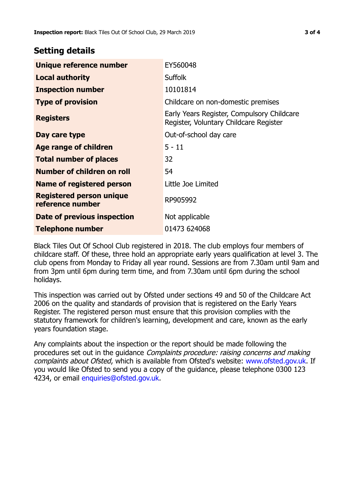## **Setting details**

| Unique reference number                             | EY560048                                                                             |
|-----------------------------------------------------|--------------------------------------------------------------------------------------|
| <b>Local authority</b>                              | <b>Suffolk</b>                                                                       |
| <b>Inspection number</b>                            | 10101814                                                                             |
| <b>Type of provision</b>                            | Childcare on non-domestic premises                                                   |
| <b>Registers</b>                                    | Early Years Register, Compulsory Childcare<br>Register, Voluntary Childcare Register |
| Day care type                                       | Out-of-school day care                                                               |
| <b>Age range of children</b>                        | $5 - 11$                                                                             |
| <b>Total number of places</b>                       | 32                                                                                   |
| Number of children on roll                          | 54                                                                                   |
| Name of registered person                           | Little Joe Limited                                                                   |
| <b>Registered person unique</b><br>reference number | RP905992                                                                             |
| Date of previous inspection                         | Not applicable                                                                       |
| Telephone number                                    | 01473 624068                                                                         |

Black Tiles Out Of School Club registered in 2018. The club employs four members of childcare staff. Of these, three hold an appropriate early years qualification at level 3. The club opens from Monday to Friday all year round. Sessions are from 7.30am until 9am and from 3pm until 6pm during term time, and from 7.30am until 6pm during the school holidays.

This inspection was carried out by Ofsted under sections 49 and 50 of the Childcare Act 2006 on the quality and standards of provision that is registered on the Early Years Register. The registered person must ensure that this provision complies with the statutory framework for children's learning, development and care, known as the early years foundation stage.

Any complaints about the inspection or the report should be made following the procedures set out in the guidance Complaints procedure: raising concerns and making complaints about Ofsted, which is available from Ofsted's website: www.ofsted.gov.uk. If you would like Ofsted to send you a copy of the guidance, please telephone 0300 123 4234, or email [enquiries@ofsted.gov.uk.](mailto:enquiries@ofsted.gov.uk)